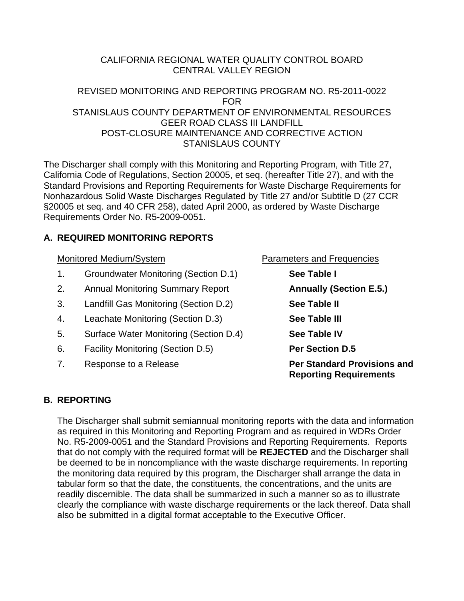# CALIFORNIA REGIONAL WATER QUALITY CONTROL BOARD CENTRAL VALLEY REGION

## REVISED MONITORING AND REPORTING PROGRAM NO. R5-2011-0022 FOR STANISLAUS COUNTY DEPARTMENT OF ENVIRONMENTAL RESOURCES GEER ROAD CLASS III LANDFILL POST-CLOSURE MAINTENANCE AND CORRECTIVE ACTION STANISLAUS COUNTY

The Discharger shall comply with this Monitoring and Reporting Program, with Title 27, California Code of Regulations, Section 20005, et seq. (hereafter Title 27), and with the Standard Provisions and Reporting Requirements for Waste Discharge Requirements for Nonhazardous Solid Waste Discharges Regulated by Title 27 and/or Subtitle D (27 CCR §20005 et seq. and 40 CFR 258), dated April 2000, as ordered by Waste Discharge Requirements Order No. R5-2009-0051.

# **A. REQUIRED MONITORING REPORTS**

- 1. Groundwater Monitoring (Section D.1) **See Table I**
- 2. Annual Monitoring Summary Report **Annually (Section E.5.)**
- 3. Landfill Gas Monitoring (Section D.2) **See Table II**
- 4. Leachate Monitoring (Section D.3) **See Table III**
- 5. Surface Water Monitoring (Section D.4) **See Table IV**
- 6. Facility Monitoring (Section D.5) **Per Section D.5**
- 

Monitored Medium/System **Parameters and Frequencies** 

7. Response to a Release **Per Standard Provisions and Reporting Requirements**

# **B. REPORTING**

The Discharger shall submit semiannual monitoring reports with the data and information as required in this Monitoring and Reporting Program and as required in WDRs Order No. R5-2009-0051 and the Standard Provisions and Reporting Requirements. Reports that do not comply with the required format will be **REJECTED** and the Discharger shall be deemed to be in noncompliance with the waste discharge requirements. In reporting the monitoring data required by this program, the Discharger shall arrange the data in tabular form so that the date, the constituents, the concentrations, and the units are readily discernible. The data shall be summarized in such a manner so as to illustrate clearly the compliance with waste discharge requirements or the lack thereof. Data shall also be submitted in a digital format acceptable to the Executive Officer.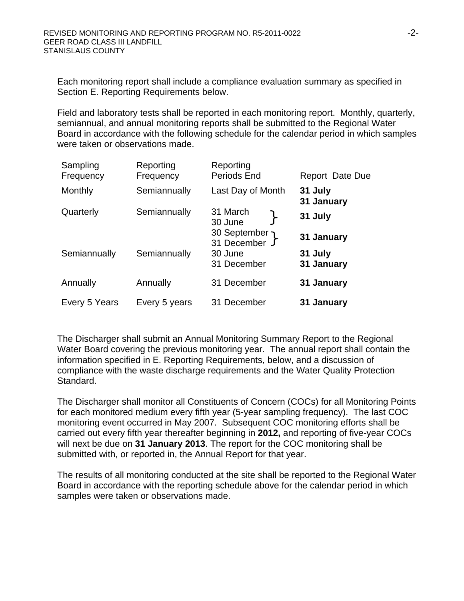Each monitoring report shall include a compliance evaluation summary as specified in Section E. Reporting Requirements below.

Field and laboratory tests shall be reported in each monitoring report. Monthly, quarterly, semiannual, and annual monitoring reports shall be submitted to the Regional Water Board in accordance with the following schedule for the calendar period in which samples were taken or observations made.

| Sampling<br>Frequency | Reporting<br>Frequency | Reporting<br>Periods End                | <b>Report Date Due</b> |
|-----------------------|------------------------|-----------------------------------------|------------------------|
| Monthly               | Semiannually           | Last Day of Month                       | 31 July<br>31 January  |
| Quarterly             | Semiannually           | 31 March<br>30 June                     | 31 July                |
| Semiannually          | Semiannually           | ר September<br>31 December J<br>30 June | 31 January<br>31 July  |
|                       |                        | 31 December                             | 31 January             |
| Annually              | Annually               | 31 December                             | 31 January             |
| Every 5 Years         | Every 5 years          | 31 December                             | 31 January             |

The Discharger shall submit an Annual Monitoring Summary Report to the Regional Water Board covering the previous monitoring year. The annual report shall contain the information specified in E. Reporting Requirements, below, and a discussion of compliance with the waste discharge requirements and the Water Quality Protection Standard.

The Discharger shall monitor all Constituents of Concern (COCs) for all Monitoring Points for each monitored medium every fifth year (5-year sampling frequency). The last COC monitoring event occurred in May 2007. Subsequent COC monitoring efforts shall be carried out every fifth year thereafter beginning in **2012,** and reporting of five-year COCs will next be due on **31 January 2013**. The report for the COC monitoring shall be submitted with, or reported in, the Annual Report for that year.

The results of all monitoring conducted at the site shall be reported to the Regional Water Board in accordance with the reporting schedule above for the calendar period in which samples were taken or observations made.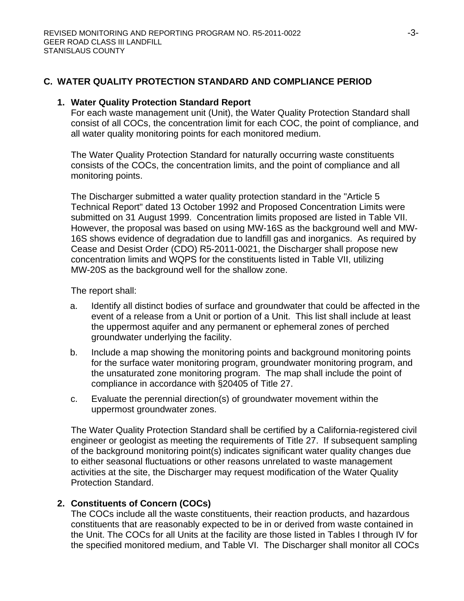# **C. WATER QUALITY PROTECTION STANDARD AND COMPLIANCE PERIOD**

#### **1. Water Quality Protection Standard Report**

For each waste management unit (Unit), the Water Quality Protection Standard shall consist of all COCs, the concentration limit for each COC, the point of compliance, and all water quality monitoring points for each monitored medium.

The Water Quality Protection Standard for naturally occurring waste constituents consists of the COCs, the concentration limits, and the point of compliance and all monitoring points.

The Discharger submitted a water quality protection standard in the "Article 5 Technical Report" dated 13 October 1992 and Proposed Concentration Limits were submitted on 31 August 1999. Concentration limits proposed are listed in Table VII. However, the proposal was based on using MW-16S as the background well and MW-16S shows evidence of degradation due to landfill gas and inorganics. As required by Cease and Desist Order (CDO) R5-2011-0021, the Discharger shall propose new concentration limits and WQPS for the constituents listed in Table VII, utilizing MW-20S as the background well for the shallow zone.

The report shall:

- a. Identify all distinct bodies of surface and groundwater that could be affected in the event of a release from a Unit or portion of a Unit. This list shall include at least the uppermost aquifer and any permanent or ephemeral zones of perched groundwater underlying the facility.
- b. Include a map showing the monitoring points and background monitoring points for the surface water monitoring program, groundwater monitoring program, and the unsaturated zone monitoring program. The map shall include the point of compliance in accordance with §20405 of Title 27.
- c. Evaluate the perennial direction(s) of groundwater movement within the uppermost groundwater zones.

The Water Quality Protection Standard shall be certified by a California-registered civil engineer or geologist as meeting the requirements of Title 27. If subsequent sampling of the background monitoring point(s) indicates significant water quality changes due to either seasonal fluctuations or other reasons unrelated to waste management activities at the site, the Discharger may request modification of the Water Quality Protection Standard.

## **2. Constituents of Concern (COCs)**

The COCs include all the waste constituents, their reaction products, and hazardous constituents that are reasonably expected to be in or derived from waste contained in the Unit. The COCs for all Units at the facility are those listed in Tables I through IV for the specified monitored medium, and Table VI. The Discharger shall monitor all COCs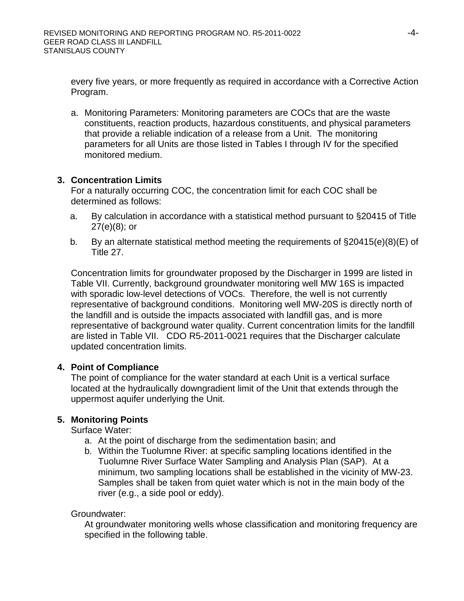every five years, or more frequently as required in accordance with a Corrective Action Program.

a. Monitoring Parameters: Monitoring parameters are COCs that are the waste constituents, reaction products, hazardous constituents, and physical parameters that provide a reliable indication of a release from a Unit. The monitoring parameters for all Units are those listed in Tables I through IV for the specified monitored medium.

# **3. Concentration Limits**

For a naturally occurring COC, the concentration limit for each COC shall be determined as follows:

- a. By calculation in accordance with a statistical method pursuant to §20415 of Title 27(e)(8); or
- b. By an alternate statistical method meeting the requirements of §20415(e)(8)(E) of Title 27.

Concentration limits for groundwater proposed by the Discharger in 1999 are listed in Table VII. Currently, background groundwater monitoring well MW 16S is impacted with sporadic low-level detections of VOCs. Therefore, the well is not currently representative of background conditions. Monitoring well MW-20S is directly north of the landfill and is outside the impacts associated with landfill gas, and is more representative of background water quality. Current concentration limits for the landfill are listed in Table VII. CDO R5-2011-0021 requires that the Discharger calculate updated concentration limits.

# **4. Point of Compliance**

The point of compliance for the water standard at each Unit is a vertical surface located at the hydraulically downgradient limit of the Unit that extends through the uppermost aquifer underlying the Unit.

# **5. Monitoring Points**

Surface Water:

- a. At the point of discharge from the sedimentation basin; and
- b. Within the Tuolumne River: at specific sampling locations identified in the Tuolumne River Surface Water Sampling and Analysis Plan (SAP). At a minimum, two sampling locations shall be established in the vicinity of MW-23. Samples shall be taken from quiet water which is not in the main body of the river (e.g., a side pool or eddy).

# Groundwater:

At groundwater monitoring wells whose classification and monitoring frequency are specified in the following table.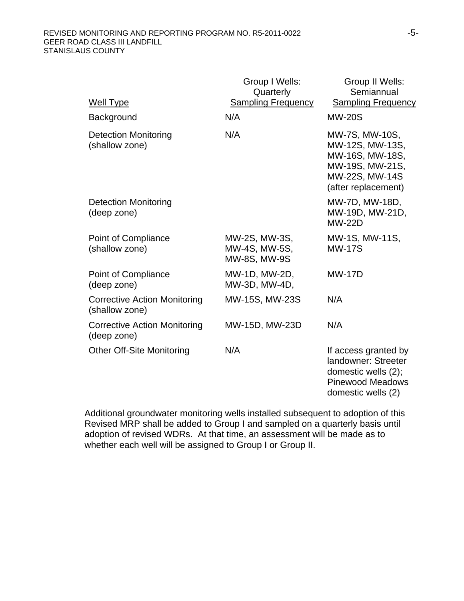#### REVISED MONITORING AND REPORTING PROGRAM NO. R5-2011-0022 - The matrix of the state of the state of the state of the state of the state of the state of the state of the state of the state of the state of the state of the s GEER ROAD CLASS III LANDFILL STANISLAUS COUNTY

| <b>Well Type</b>                                      | Group I Wells:<br>Quarterly<br><b>Sampling Frequency</b> | Group II Wells:<br>Semiannual<br><b>Sampling Frequency</b>                                                          |
|-------------------------------------------------------|----------------------------------------------------------|---------------------------------------------------------------------------------------------------------------------|
| Background                                            | N/A                                                      | <b>MW-20S</b>                                                                                                       |
| <b>Detection Monitoring</b><br>(shallow zone)         | N/A                                                      | MW-7S, MW-10S,<br>MW-12S, MW-13S,<br>MW-16S, MW-18S,<br>MW-19S, MW-21S,<br>MW-22S, MW-14S<br>(after replacement)    |
| <b>Detection Monitoring</b><br>(deep zone)            |                                                          | MW-7D, MW-18D,<br>MW-19D, MW-21D,<br><b>MW-22D</b>                                                                  |
| Point of Compliance<br>(shallow zone)                 | MW-2S, MW-3S,<br>MW-4S, MW-5S,<br><b>MW-8S, MW-9S</b>    | MW-1S, MW-11S,<br><b>MW-17S</b>                                                                                     |
| Point of Compliance<br>(deep zone)                    | MW-1D, MW-2D,<br>MW-3D, MW-4D,                           | <b>MW-17D</b>                                                                                                       |
| <b>Corrective Action Monitoring</b><br>(shallow zone) | MW-15S, MW-23S                                           | N/A                                                                                                                 |
| <b>Corrective Action Monitoring</b><br>(deep zone)    | MW-15D, MW-23D                                           | N/A                                                                                                                 |
| <b>Other Off-Site Monitoring</b>                      | N/A                                                      | If access granted by<br>landowner: Streeter<br>domestic wells (2);<br><b>Pinewood Meadows</b><br>domestic wells (2) |

Additional groundwater monitoring wells installed subsequent to adoption of this Revised MRP shall be added to Group I and sampled on a quarterly basis until adoption of revised WDRs. At that time, an assessment will be made as to whether each well will be assigned to Group I or Group II.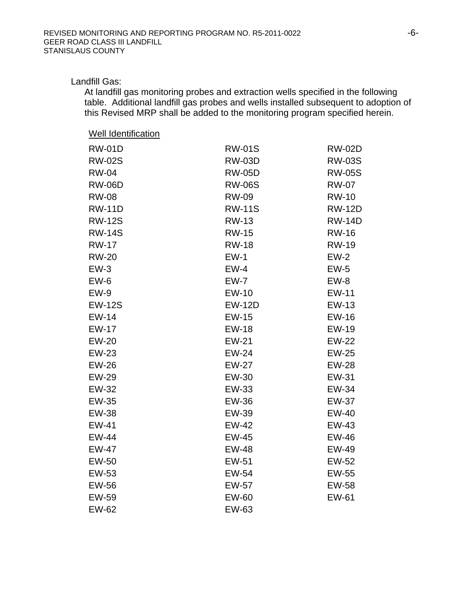## Landfill Gas:

Well Identification

At landfill gas monitoring probes and extraction wells specified in the following table. Additional landfill gas probes and wells installed subsequent to adoption of this Revised MRP shall be added to the monitoring program specified herein.

| <b>RW-01D</b> | <b>RW-01S</b> | <b>RW-02D</b> |
|---------------|---------------|---------------|
| <b>RW-02S</b> | <b>RW-03D</b> | <b>RW-03S</b> |
| <b>RW-04</b>  | <b>RW-05D</b> | <b>RW-05S</b> |
| <b>RW-06D</b> | <b>RW-06S</b> | <b>RW-07</b>  |
| <b>RW-08</b>  | <b>RW-09</b>  | <b>RW-10</b>  |
| <b>RW-11D</b> | <b>RW-11S</b> | <b>RW-12D</b> |
| <b>RW-12S</b> | <b>RW-13</b>  | <b>RW-14D</b> |
| <b>RW-14S</b> | <b>RW-15</b>  | <b>RW-16</b>  |
| <b>RW-17</b>  | <b>RW-18</b>  | <b>RW-19</b>  |
| <b>RW-20</b>  | $EW-1$        | $EW-2$        |
| $EW-3$        | $EW-4$        | $EW-5$        |
| $EW-6$        | $EW-7$        | $EW-8$        |
| $EW-9$        | EW-10         | EW-11         |
| <b>EW-12S</b> | <b>EW-12D</b> | <b>EW-13</b>  |
| <b>EW-14</b>  | <b>EW-15</b>  | <b>EW-16</b>  |
| <b>EW-17</b>  | <b>EW-18</b>  | EW-19         |
| <b>EW-20</b>  | <b>EW-21</b>  | <b>EW-22</b>  |
| EW-23         | EW-24         | <b>EW-25</b>  |
| <b>EW-26</b>  | EW-27         | <b>EW-28</b>  |
| <b>EW-29</b>  | EW-30         | <b>EW-31</b>  |
| <b>EW-32</b>  | EW-33         | EW-34         |
| <b>EW-35</b>  | <b>EW-36</b>  | <b>EW-37</b>  |
| <b>EW-38</b>  | EW-39         | <b>EW-40</b>  |
| <b>EW-41</b>  | <b>EW-42</b>  | <b>EW-43</b>  |
| <b>EW-44</b>  | <b>EW-45</b>  | <b>EW-46</b>  |
| <b>EW-47</b>  | <b>EW-48</b>  | <b>EW-49</b>  |
| <b>EW-50</b>  | <b>EW-51</b>  | EW-52         |
| EW-53         | EW-54         | <b>EW-55</b>  |
| <b>EW-56</b>  | <b>EW-57</b>  | <b>EW-58</b>  |
| <b>EW-59</b>  | <b>EW-60</b>  | EW-61         |
| <b>EW-62</b>  | EW-63         |               |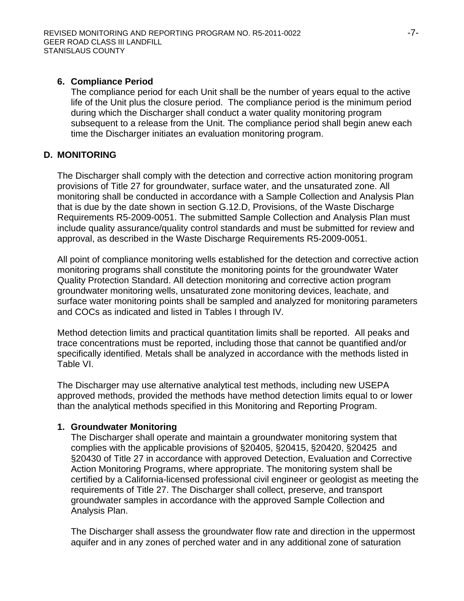## **6. Compliance Period**

The compliance period for each Unit shall be the number of years equal to the active life of the Unit plus the closure period. The compliance period is the minimum period during which the Discharger shall conduct a water quality monitoring program subsequent to a release from the Unit. The compliance period shall begin anew each time the Discharger initiates an evaluation monitoring program.

## **D. MONITORING**

The Discharger shall comply with the detection and corrective action monitoring program provisions of Title 27 for groundwater, surface water, and the unsaturated zone. All monitoring shall be conducted in accordance with a Sample Collection and Analysis Plan that is due by the date shown in section G.12.D, Provisions, of the Waste Discharge Requirements R5-2009-0051. The submitted Sample Collection and Analysis Plan must include quality assurance/quality control standards and must be submitted for review and approval, as described in the Waste Discharge Requirements R5-2009-0051.

All point of compliance monitoring wells established for the detection and corrective action monitoring programs shall constitute the monitoring points for the groundwater Water Quality Protection Standard. All detection monitoring and corrective action program groundwater monitoring wells, unsaturated zone monitoring devices, leachate, and surface water monitoring points shall be sampled and analyzed for monitoring parameters and COCs as indicated and listed in Tables I through IV.

Method detection limits and practical quantitation limits shall be reported. All peaks and trace concentrations must be reported, including those that cannot be quantified and/or specifically identified. Metals shall be analyzed in accordance with the methods listed in Table VI.

The Discharger may use alternative analytical test methods, including new USEPA approved methods, provided the methods have method detection limits equal to or lower than the analytical methods specified in this Monitoring and Reporting Program.

## **1. Groundwater Monitoring**

The Discharger shall operate and maintain a groundwater monitoring system that complies with the applicable provisions of §20405, §20415, §20420, §20425 and §20430 of Title 27 in accordance with approved Detection, Evaluation and Corrective Action Monitoring Programs, where appropriate. The monitoring system shall be certified by a California-licensed professional civil engineer or geologist as meeting the requirements of Title 27. The Discharger shall collect, preserve, and transport groundwater samples in accordance with the approved Sample Collection and Analysis Plan.

The Discharger shall assess the groundwater flow rate and direction in the uppermost aquifer and in any zones of perched water and in any additional zone of saturation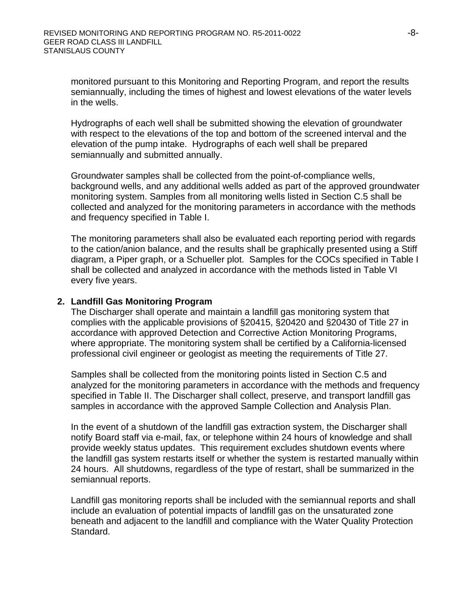monitored pursuant to this Monitoring and Reporting Program, and report the results semiannually, including the times of highest and lowest elevations of the water levels in the wells.

Hydrographs of each well shall be submitted showing the elevation of groundwater with respect to the elevations of the top and bottom of the screened interval and the elevation of the pump intake. Hydrographs of each well shall be prepared semiannually and submitted annually.

Groundwater samples shall be collected from the point-of-compliance wells, background wells, and any additional wells added as part of the approved groundwater monitoring system. Samples from all monitoring wells listed in Section C.5 shall be collected and analyzed for the monitoring parameters in accordance with the methods and frequency specified in Table I.

The monitoring parameters shall also be evaluated each reporting period with regards to the cation/anion balance, and the results shall be graphically presented using a Stiff diagram, a Piper graph, or a Schueller plot. Samples for the COCs specified in Table I shall be collected and analyzed in accordance with the methods listed in Table VI every five years.

## **2. Landfill Gas Monitoring Program**

The Discharger shall operate and maintain a landfill gas monitoring system that complies with the applicable provisions of §20415, §20420 and §20430 of Title 27 in accordance with approved Detection and Corrective Action Monitoring Programs, where appropriate. The monitoring system shall be certified by a California-licensed professional civil engineer or geologist as meeting the requirements of Title 27.

Samples shall be collected from the monitoring points listed in Section C.5 and analyzed for the monitoring parameters in accordance with the methods and frequency specified in Table II. The Discharger shall collect, preserve, and transport landfill gas samples in accordance with the approved Sample Collection and Analysis Plan.

In the event of a shutdown of the landfill gas extraction system, the Discharger shall notify Board staff via e-mail, fax, or telephone within 24 hours of knowledge and shall provide weekly status updates. This requirement excludes shutdown events where the landfill gas system restarts itself or whether the system is restarted manually within 24 hours. All shutdowns, regardless of the type of restart, shall be summarized in the semiannual reports.

Landfill gas monitoring reports shall be included with the semiannual reports and shall include an evaluation of potential impacts of landfill gas on the unsaturated zone beneath and adjacent to the landfill and compliance with the Water Quality Protection Standard.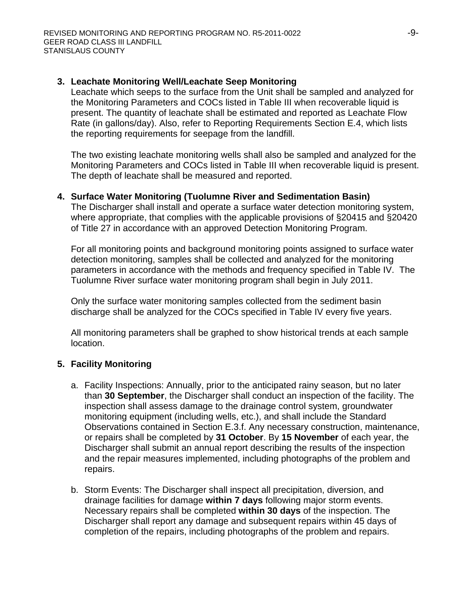## **3. Leachate Monitoring Well/Leachate Seep Monitoring**

Leachate which seeps to the surface from the Unit shall be sampled and analyzed for the Monitoring Parameters and COCs listed in Table III when recoverable liquid is present. The quantity of leachate shall be estimated and reported as Leachate Flow Rate (in gallons/day). Also, refer to Reporting Requirements Section E.4, which lists the reporting requirements for seepage from the landfill.

The two existing leachate monitoring wells shall also be sampled and analyzed for the Monitoring Parameters and COCs listed in Table III when recoverable liquid is present. The depth of leachate shall be measured and reported.

## **4. Surface Water Monitoring (Tuolumne River and Sedimentation Basin)**

The Discharger shall install and operate a surface water detection monitoring system, where appropriate, that complies with the applicable provisions of §20415 and §20420 of Title 27 in accordance with an approved Detection Monitoring Program.

For all monitoring points and background monitoring points assigned to surface water detection monitoring, samples shall be collected and analyzed for the monitoring parameters in accordance with the methods and frequency specified in Table IV. The Tuolumne River surface water monitoring program shall begin in July 2011.

Only the surface water monitoring samples collected from the sediment basin discharge shall be analyzed for the COCs specified in Table IV every five years.

All monitoring parameters shall be graphed to show historical trends at each sample location.

# **5. Facility Monitoring**

- a. Facility Inspections: Annually, prior to the anticipated rainy season, but no later than **30 September**, the Discharger shall conduct an inspection of the facility. The inspection shall assess damage to the drainage control system, groundwater monitoring equipment (including wells, etc.), and shall include the Standard Observations contained in Section E.3.f. Any necessary construction, maintenance, or repairs shall be completed by **31 October**. By **15 November** of each year, the Discharger shall submit an annual report describing the results of the inspection and the repair measures implemented, including photographs of the problem and repairs.
- b. Storm Events: The Discharger shall inspect all precipitation, diversion, and drainage facilities for damage **within 7 days** following major storm events. Necessary repairs shall be completed **within 30 days** of the inspection. The Discharger shall report any damage and subsequent repairs within 45 days of completion of the repairs, including photographs of the problem and repairs.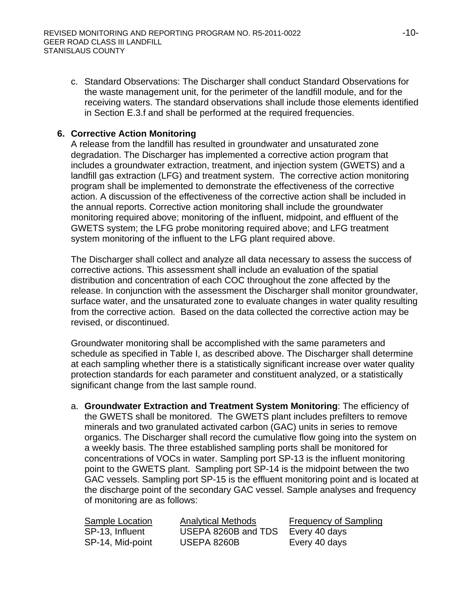c. Standard Observations: The Discharger shall conduct Standard Observations for the waste management unit, for the perimeter of the landfill module, and for the receiving waters. The standard observations shall include those elements identified in Section E.3.f and shall be performed at the required frequencies.

## **6. Corrective Action Monitoring**

A release from the landfill has resulted in groundwater and unsaturated zone degradation. The Discharger has implemented a corrective action program that includes a groundwater extraction, treatment, and injection system (GWETS) and a landfill gas extraction (LFG) and treatment system. The corrective action monitoring program shall be implemented to demonstrate the effectiveness of the corrective action. A discussion of the effectiveness of the corrective action shall be included in the annual reports. Corrective action monitoring shall include the groundwater monitoring required above; monitoring of the influent, midpoint, and effluent of the GWETS system; the LFG probe monitoring required above; and LFG treatment system monitoring of the influent to the LFG plant required above.

The Discharger shall collect and analyze all data necessary to assess the success of corrective actions. This assessment shall include an evaluation of the spatial distribution and concentration of each COC throughout the zone affected by the release. In conjunction with the assessment the Discharger shall monitor groundwater, surface water, and the unsaturated zone to evaluate changes in water quality resulting from the corrective action. Based on the data collected the corrective action may be revised, or discontinued.

Groundwater monitoring shall be accomplished with the same parameters and schedule as specified in Table I, as described above. The Discharger shall determine at each sampling whether there is a statistically significant increase over water quality protection standards for each parameter and constituent analyzed, or a statistically significant change from the last sample round.

a. **Groundwater Extraction and Treatment System Monitoring**: The efficiency of the GWETS shall be monitored. The GWETS plant includes prefilters to remove minerals and two granulated activated carbon (GAC) units in series to remove organics. The Discharger shall record the cumulative flow going into the system on a weekly basis. The three established sampling ports shall be monitored for concentrations of VOCs in water. Sampling port SP-13 is the influent monitoring point to the GWETS plant. Sampling port SP-14 is the midpoint between the two GAC vessels. Sampling port SP-15 is the effluent monitoring point and is located at the discharge point of the secondary GAC vessel. Sample analyses and frequency of monitoring are as follows:

| Sample Location  | <b>Analytical Methods</b> | <b>Frequency of Sampling</b> |
|------------------|---------------------------|------------------------------|
| SP-13, Influent  | USEPA 8260B and TDS       | Every 40 days                |
| SP-14, Mid-point | USEPA 8260B               | Every 40 days                |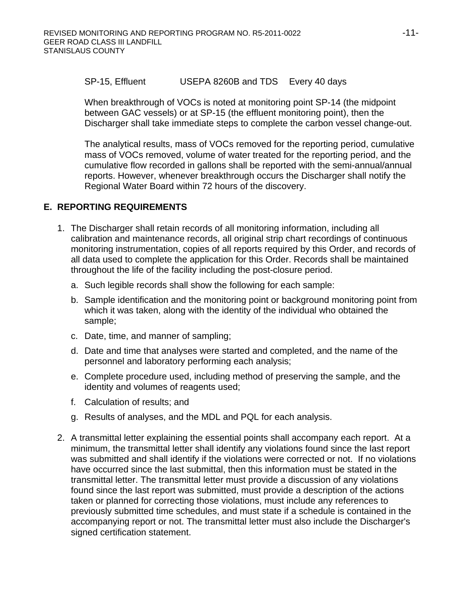SP-15, Effluent USEPA 8260B and TDS Every 40 days

When breakthrough of VOCs is noted at monitoring point SP-14 (the midpoint between GAC vessels) or at SP-15 (the effluent monitoring point), then the Discharger shall take immediate steps to complete the carbon vessel change-out.

The analytical results, mass of VOCs removed for the reporting period, cumulative mass of VOCs removed, volume of water treated for the reporting period, and the cumulative flow recorded in gallons shall be reported with the semi-annual/annual reports. However, whenever breakthrough occurs the Discharger shall notify the Regional Water Board within 72 hours of the discovery.

# **E. REPORTING REQUIREMENTS**

- 1. The Discharger shall retain records of all monitoring information, including all calibration and maintenance records, all original strip chart recordings of continuous monitoring instrumentation, copies of all reports required by this Order, and records of all data used to complete the application for this Order. Records shall be maintained throughout the life of the facility including the post-closure period.
	- a. Such legible records shall show the following for each sample:
	- b. Sample identification and the monitoring point or background monitoring point from which it was taken, along with the identity of the individual who obtained the sample;
	- c. Date, time, and manner of sampling;
	- d. Date and time that analyses were started and completed, and the name of the personnel and laboratory performing each analysis;
	- e. Complete procedure used, including method of preserving the sample, and the identity and volumes of reagents used;
	- f. Calculation of results; and
	- g. Results of analyses, and the MDL and PQL for each analysis.
- 2. A transmittal letter explaining the essential points shall accompany each report. At a minimum, the transmittal letter shall identify any violations found since the last report was submitted and shall identify if the violations were corrected or not. If no violations have occurred since the last submittal, then this information must be stated in the transmittal letter. The transmittal letter must provide a discussion of any violations found since the last report was submitted, must provide a description of the actions taken or planned for correcting those violations, must include any references to previously submitted time schedules, and must state if a schedule is contained in the accompanying report or not. The transmittal letter must also include the Discharger's signed certification statement.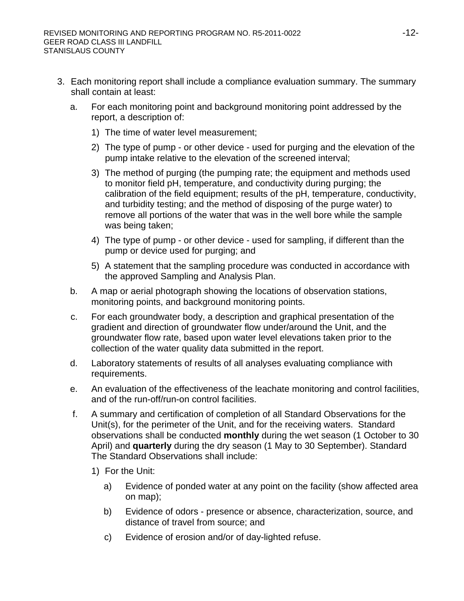- 3. Each monitoring report shall include a compliance evaluation summary. The summary shall contain at least:
	- a. For each monitoring point and background monitoring point addressed by the report, a description of:
		- 1) The time of water level measurement;
		- 2) The type of pump or other device used for purging and the elevation of the pump intake relative to the elevation of the screened interval;
		- 3) The method of purging (the pumping rate; the equipment and methods used to monitor field pH, temperature, and conductivity during purging; the calibration of the field equipment; results of the pH, temperature, conductivity, and turbidity testing; and the method of disposing of the purge water) to remove all portions of the water that was in the well bore while the sample was being taken;
		- 4) The type of pump or other device used for sampling, if different than the pump or device used for purging; and
		- 5) A statement that the sampling procedure was conducted in accordance with the approved Sampling and Analysis Plan.
	- b. A map or aerial photograph showing the locations of observation stations, monitoring points, and background monitoring points.
	- c. For each groundwater body, a description and graphical presentation of the gradient and direction of groundwater flow under/around the Unit, and the groundwater flow rate, based upon water level elevations taken prior to the collection of the water quality data submitted in the report.
	- d. Laboratory statements of results of all analyses evaluating compliance with requirements.
	- e. An evaluation of the effectiveness of the leachate monitoring and control facilities, and of the run-off/run-on control facilities.
	- f. A summary and certification of completion of all Standard Observations for the Unit(s), for the perimeter of the Unit, and for the receiving waters. Standard observations shall be conducted **monthly** during the wet season (1 October to 30 April) and **quarterly** during the dry season (1 May to 30 September). Standard The Standard Observations shall include:
		- 1) For the Unit:
			- a) Evidence of ponded water at any point on the facility (show affected area on map);
			- b) Evidence of odors presence or absence, characterization, source, and distance of travel from source; and
			- c) Evidence of erosion and/or of day-lighted refuse.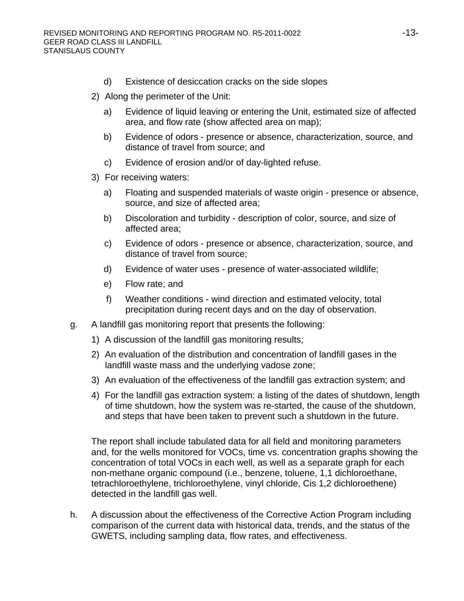- d) Existence of desiccation cracks on the side slopes
- 2) Along the perimeter of the Unit:
	- a) Evidence of liquid leaving or entering the Unit, estimated size of affected area, and flow rate (show affected area on map);
	- b) Evidence of odors presence or absence, characterization, source, and distance of travel from source; and
	- c) Evidence of erosion and/or of day-lighted refuse.
- 3) For receiving waters:
	- a) Floating and suspended materials of waste origin presence or absence, source, and size of affected area;
	- b) Discoloration and turbidity description of color, source, and size of affected area;
	- c) Evidence of odors presence or absence, characterization, source, and distance of travel from source;
	- d) Evidence of water uses presence of water-associated wildlife;
	- e) Flow rate; and
	- f) Weather conditions wind direction and estimated velocity, total precipitation during recent days and on the day of observation.
- g. A landfill gas monitoring report that presents the following:
	- 1) A discussion of the landfill gas monitoring results;
	- 2) An evaluation of the distribution and concentration of landfill gases in the landfill waste mass and the underlying vadose zone;
	- 3) An evaluation of the effectiveness of the landfill gas extraction system; and
	- 4) For the landfill gas extraction system: a listing of the dates of shutdown, length of time shutdown, how the system was re-started, the cause of the shutdown, and steps that have been taken to prevent such a shutdown in the future.

The report shall include tabulated data for all field and monitoring parameters and, for the wells monitored for VOCs, time vs. concentration graphs showing the concentration of total VOCs in each well, as well as a separate graph for each non-methane organic compound (i.e., benzene, toluene, 1,1 dichloroethane, tetrachloroethylene, trichloroethylene, vinyl chloride, Cis 1,2 dichloroethene) detected in the landfill gas well.

h. A discussion about the effectiveness of the Corrective Action Program including comparison of the current data with historical data, trends, and the status of the GWETS, including sampling data, flow rates, and effectiveness.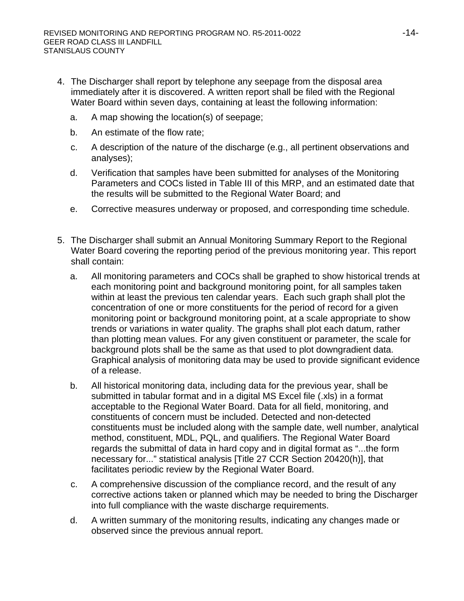- 4. The Discharger shall report by telephone any seepage from the disposal area immediately after it is discovered. A written report shall be filed with the Regional Water Board within seven days, containing at least the following information:
	- a. A map showing the location(s) of seepage;
	- b. An estimate of the flow rate;
	- c. A description of the nature of the discharge (e.g., all pertinent observations and analyses);
	- d. Verification that samples have been submitted for analyses of the Monitoring Parameters and COCs listed in Table III of this MRP, and an estimated date that the results will be submitted to the Regional Water Board; and
	- e. Corrective measures underway or proposed, and corresponding time schedule.
- 5. The Discharger shall submit an Annual Monitoring Summary Report to the Regional Water Board covering the reporting period of the previous monitoring year. This report shall contain:
	- a. All monitoring parameters and COCs shall be graphed to show historical trends at each monitoring point and background monitoring point, for all samples taken within at least the previous ten calendar years. Each such graph shall plot the concentration of one or more constituents for the period of record for a given monitoring point or background monitoring point, at a scale appropriate to show trends or variations in water quality. The graphs shall plot each datum, rather than plotting mean values. For any given constituent or parameter, the scale for background plots shall be the same as that used to plot downgradient data. Graphical analysis of monitoring data may be used to provide significant evidence of a release.
	- b. All historical monitoring data, including data for the previous year, shall be submitted in tabular format and in a digital MS Excel file (.xls) in a format acceptable to the Regional Water Board. Data for all field, monitoring, and constituents of concern must be included. Detected and non-detected constituents must be included along with the sample date, well number, analytical method, constituent, MDL, PQL, and qualifiers. The Regional Water Board regards the submittal of data in hard copy and in digital format as "...the form necessary for..." statistical analysis [Title 27 CCR Section 20420(h)], that facilitates periodic review by the Regional Water Board.
	- c. A comprehensive discussion of the compliance record, and the result of any corrective actions taken or planned which may be needed to bring the Discharger into full compliance with the waste discharge requirements.
	- d. A written summary of the monitoring results, indicating any changes made or observed since the previous annual report.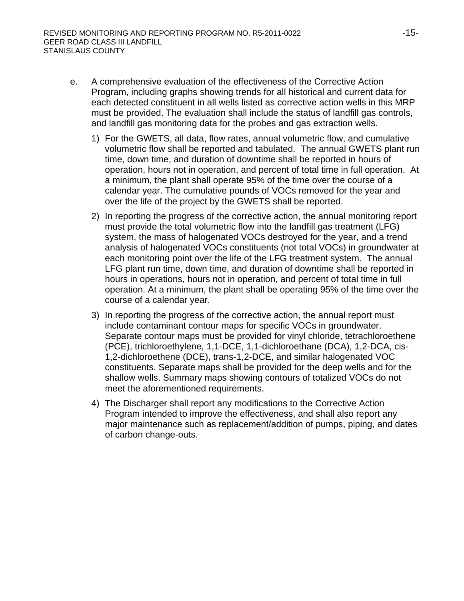- e. A comprehensive evaluation of the effectiveness of the Corrective Action Program, including graphs showing trends for all historical and current data for each detected constituent in all wells listed as corrective action wells in this MRP must be provided. The evaluation shall include the status of landfill gas controls, and landfill gas monitoring data for the probes and gas extraction wells.
	- 1) For the GWETS, all data, flow rates, annual volumetric flow, and cumulative volumetric flow shall be reported and tabulated. The annual GWETS plant run time, down time, and duration of downtime shall be reported in hours of operation, hours not in operation, and percent of total time in full operation. At a minimum, the plant shall operate 95% of the time over the course of a calendar year. The cumulative pounds of VOCs removed for the year and over the life of the project by the GWETS shall be reported.
	- 2) In reporting the progress of the corrective action, the annual monitoring report must provide the total volumetric flow into the landfill gas treatment (LFG) system, the mass of halogenated VOCs destroyed for the year, and a trend analysis of halogenated VOCs constituents (not total VOCs) in groundwater at each monitoring point over the life of the LFG treatment system. The annual LFG plant run time, down time, and duration of downtime shall be reported in hours in operations, hours not in operation, and percent of total time in full operation. At a minimum, the plant shall be operating 95% of the time over the course of a calendar year.
	- 3) In reporting the progress of the corrective action, the annual report must include contaminant contour maps for specific VOCs in groundwater. Separate contour maps must be provided for vinyl chloride, tetrachloroethene (PCE), trichloroethylene, 1,1-DCE, 1,1-dichloroethane (DCA), 1,2-DCA, cis-1,2-dichloroethene (DCE), trans-1,2-DCE, and similar halogenated VOC constituents. Separate maps shall be provided for the deep wells and for the shallow wells. Summary maps showing contours of totalized VOCs do not meet the aforementioned requirements.
	- 4) The Discharger shall report any modifications to the Corrective Action Program intended to improve the effectiveness, and shall also report any major maintenance such as replacement/addition of pumps, piping, and dates of carbon change-outs.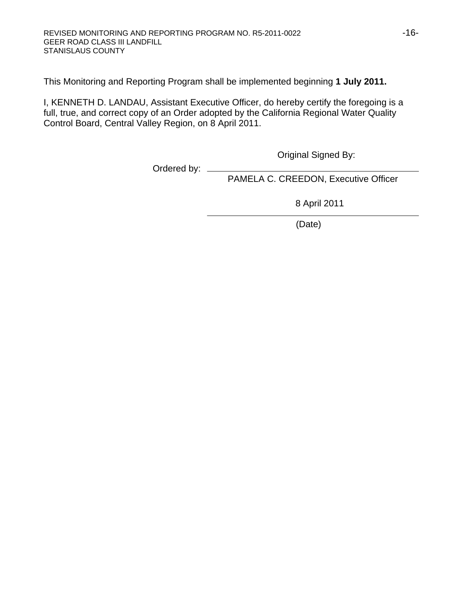This Monitoring and Reporting Program shall be implemented beginning **1 July 2011.**

I, KENNETH D. LANDAU, Assistant Executive Officer, do hereby certify the foregoing is a full, true, and correct copy of an Order adopted by the California Regional Water Quality Control Board, Central Valley Region, on 8 April 2011.

Original Signed By:

Ordered by:  $-$ 

PAMELA C. CREEDON, Executive Officer

8 April 2011

(Date)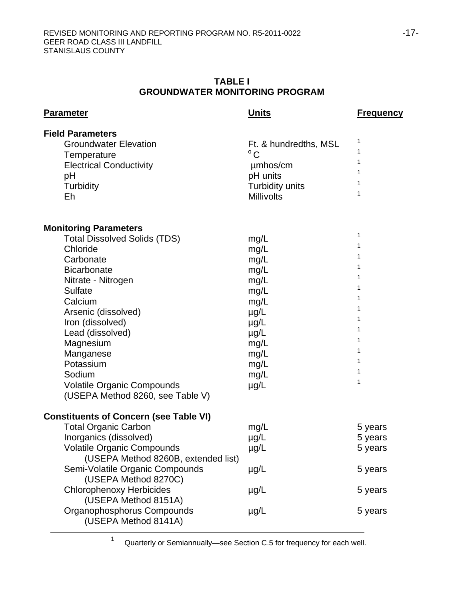|                                | <b>TABLE I</b> |  |
|--------------------------------|----------------|--|
| GROUNDWATER MONITORING PROGRAM |                |  |

| <b>Parameter</b>                                        | <b>Units</b>          | <u>Frequency</u> |
|---------------------------------------------------------|-----------------------|------------------|
| <b>Field Parameters</b>                                 |                       |                  |
| <b>Groundwater Elevation</b>                            | Ft. & hundredths, MSL | 1                |
| Temperature                                             | $^{\circ}$ C          | 1                |
| <b>Electrical Conductivity</b>                          | umhos/cm              | 1                |
| pH                                                      | pH units              | 1                |
| Turbidity                                               | Turbidity units       | 1                |
| Eh                                                      | <b>Millivolts</b>     | 1                |
| <b>Monitoring Parameters</b>                            |                       |                  |
| <b>Total Dissolved Solids (TDS)</b>                     | mg/L                  | 1                |
| Chloride                                                | mg/L                  | 1                |
| Carbonate                                               | mg/L                  | 1                |
| <b>Bicarbonate</b>                                      | mg/L                  | 1                |
| Nitrate - Nitrogen                                      | mg/L                  | 1                |
| <b>Sulfate</b>                                          | mg/L                  | 1                |
| Calcium                                                 | mg/L                  | 1                |
| Arsenic (dissolved)                                     | $\mu$ g/L             | 1                |
| Iron (dissolved)                                        | $\mu$ g/L             | 1                |
| Lead (dissolved)                                        | $\mu$ g/L             | 1                |
| Magnesium                                               | mg/L                  | 1                |
| Manganese                                               | mg/L                  | 1                |
| Potassium                                               | mg/L                  | 1                |
| Sodium                                                  | mg/L                  | 1                |
| <b>Volatile Organic Compounds</b>                       | $\mu$ g/L             | 1                |
| (USEPA Method 8260, see Table V)                        |                       |                  |
| <b>Constituents of Concern (see Table VI)</b>           |                       |                  |
| <b>Total Organic Carbon</b>                             | mg/L                  | 5 years          |
| Inorganics (dissolved)                                  | $\mu$ g/L             | 5 years          |
| Volatile Organic Compounds                              | $\mu$ g/L             | 5 years          |
| (USEPA Method 8260B, extended list)                     |                       |                  |
| Semi-Volatile Organic Compounds<br>(USEPA Method 8270C) | $\mu$ g/L             | 5 years          |
| <b>Chlorophenoxy Herbicides</b><br>(USEPA Method 8151A) | $\mu$ g/L             | 5 years          |
| Organophosphorus Compounds<br>(USEPA Method 8141A)      | $\mu$ g/L             | 5 years          |

<sup>1</sup> Quarterly or Semiannually—see Section C.5 for frequency for each well.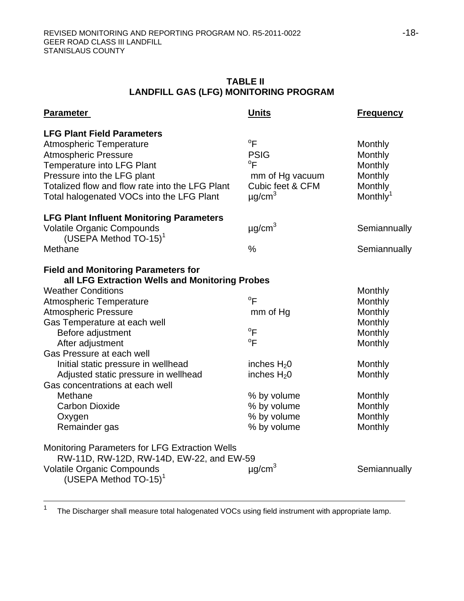## **TABLE II LANDFILL GAS (LFG) MONITORING PROGRAM**

| <b>Parameter</b>                                                                                                                                                                                                                                                       | <b>Units</b>                                                                                                               | <u>Frequency</u>                                                             |
|------------------------------------------------------------------------------------------------------------------------------------------------------------------------------------------------------------------------------------------------------------------------|----------------------------------------------------------------------------------------------------------------------------|------------------------------------------------------------------------------|
| <b>LFG Plant Field Parameters</b><br><b>Atmospheric Temperature</b><br><b>Atmospheric Pressure</b><br><b>Temperature into LFG Plant</b><br>Pressure into the LFG plant<br>Totalized flow and flow rate into the LFG Plant<br>Total halogenated VOCs into the LFG Plant | $\mathrm{P}$<br><b>PSIG</b><br>$\mathrm{P}^{\mathrm{o}}$<br>mm of Hg vacuum<br>Cubic feet & CFM<br>$\mu$ g/cm <sup>3</sup> | Monthly<br>Monthly<br>Monthly<br>Monthly<br>Monthly<br>Monthly <sup>1</sup>  |
| <b>LFG Plant Influent Monitoring Parameters</b><br><b>Volatile Organic Compounds</b><br>(USEPA Method $TO-15$ ) <sup>1</sup><br>Methane                                                                                                                                | $\mu$ g/cm <sup>3</sup><br>$\frac{0}{0}$                                                                                   | Semiannually<br>Semiannually                                                 |
| <b>Field and Monitoring Parameters for</b><br>all LFG Extraction Wells and Monitoring Probes<br><b>Weather Conditions</b><br><b>Atmospheric Temperature</b><br><b>Atmospheric Pressure</b><br>Gas Temperature at each well<br>Before adjustment<br>After adjustment    | $\mathrm{P}^{\circ}$<br>mm of Hg<br>$^{\circ}$ F<br>$^{\circ}$ F                                                           | Monthly<br>Monthly<br>Monthly<br>Monthly<br>Monthly<br>Monthly               |
| Gas Pressure at each well<br>Initial static pressure in wellhead<br>Adjusted static pressure in wellhead<br>Gas concentrations at each well<br>Methane<br><b>Carbon Dioxide</b><br>Oxygen<br>Remainder gas                                                             | inches $H20$<br>inches $H20$<br>% by volume<br>% by volume<br>% by volume<br>% by volume                                   | Monthly<br>Monthly<br>Monthly<br><b>Monthly</b><br><b>Monthly</b><br>Monthly |
| <b>Monitoring Parameters for LFG Extraction Wells</b><br>RW-11D, RW-12D, RW-14D, EW-22, and EW-59<br><b>Volatile Organic Compounds</b><br>(USEPA Method TO-15) <sup>1</sup>                                                                                            | $\mu$ g/cm <sup>3</sup>                                                                                                    | Semiannually                                                                 |

<sup>1</sup> The Discharger shall measure total halogenated VOCs using field instrument with appropriate lamp.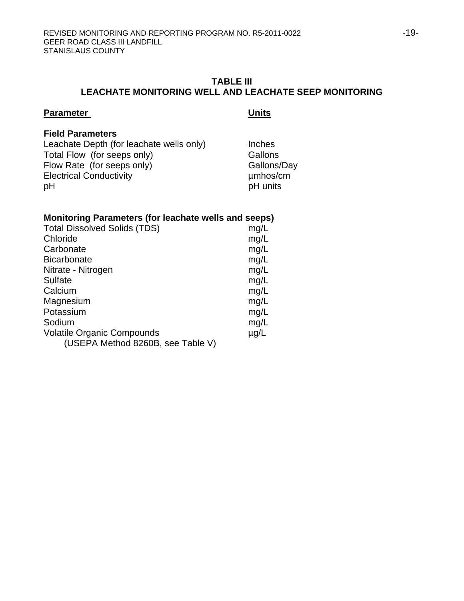## **TABLE III LEACHATE MONITORING WELL AND LEACHATE SEEP MONITORING**

## **Parameter Units Contract Parameter**

## **Field Parameters**

Leachate Depth (for leachate wells only) lnches<br>Total Flow (for seeps only) Gallons Total Flow (for seeps only) Flow Rate (for seeps only) Gallons/Day Electrical Conductivity **Electrical** Conductivity pH pH

# **Monitoring Parameters (for leachate wells and seeps)**

| <b>Total Dissolved Solids (TDS)</b> | mg/L      |
|-------------------------------------|-----------|
| Chloride                            | mg/L      |
| Carbonate                           | mg/L      |
| <b>Bicarbonate</b>                  | mg/L      |
| Nitrate - Nitrogen                  | mg/L      |
| <b>Sulfate</b>                      | mg/L      |
| Calcium                             | mg/L      |
| Magnesium                           | mg/L      |
| Potassium                           | mg/L      |
| Sodium                              | mg/L      |
| <b>Volatile Organic Compounds</b>   | $\mu$ g/L |
| (USEPA Method 8260B, see Table V)   |           |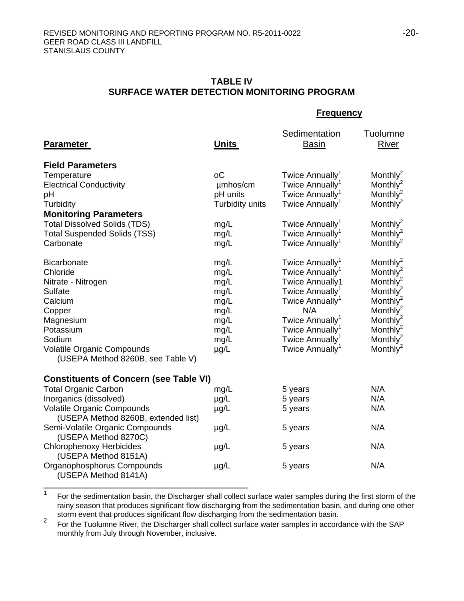## **TABLE IV SURFACE WATER DETECTION MONITORING PROGRAM**

#### **Frequency**

|                                                         |                 | Sedimentation               | Tuolumne                                     |
|---------------------------------------------------------|-----------------|-----------------------------|----------------------------------------------|
| <b>Parameter</b>                                        | <u>Units</u>    | <b>Basin</b>                | River                                        |
| <b>Field Parameters</b>                                 |                 |                             |                                              |
| Temperature                                             | <sub>o</sub> C  | Twice Annually <sup>1</sup> | Monthly <sup>2</sup>                         |
| <b>Electrical Conductivity</b>                          | umhos/cm        | Twice Annually <sup>1</sup> | Monthly $2$                                  |
| рH                                                      | pH units        | Twice Annually <sup>1</sup> |                                              |
| Turbidity                                               | Turbidity units | Twice Annually <sup>1</sup> | Monthly <sup>2</sup><br>Monthly <sup>2</sup> |
| <b>Monitoring Parameters</b>                            |                 |                             |                                              |
| <b>Total Dissolved Solids (TDS)</b>                     | mg/L            | Twice Annually <sup>1</sup> | Monthly <sup>2</sup>                         |
| <b>Total Suspended Solids (TSS)</b>                     | mg/L            | Twice Annually <sup>1</sup> | Monthly <sup>2</sup>                         |
| Carbonate                                               | mg/L            | Twice Annually <sup>1</sup> | Monthly <sup>2</sup>                         |
| <b>Bicarbonate</b>                                      | mg/L            | Twice Annually <sup>1</sup> | Monthly <sup>2</sup>                         |
| Chloride                                                | mg/L            | Twice Annually <sup>1</sup> | Monthly <sup>2</sup>                         |
| Nitrate - Nitrogen                                      | mg/L            | <b>Twice Annually1</b>      | Monthly <sup>2</sup>                         |
| Sulfate                                                 | mg/L            | Twice Annually <sup>1</sup> | Monthly <sup>2</sup>                         |
| Calcium                                                 | mg/L            | Twice Annually <sup>1</sup> | Monthly <sup>2</sup>                         |
| Copper                                                  | mg/L            | N/A                         | Monthly <sup>2</sup>                         |
| Magnesium                                               | mg/L            | Twice Annually <sup>1</sup> | Monthly <sup>2</sup>                         |
| Potassium                                               | mg/L            | Twice Annually <sup>1</sup> | Monthly $2$                                  |
| Sodium                                                  | mg/L            | Twice Annually <sup>1</sup> | Monthly $^2$                                 |
| <b>Volatile Organic Compounds</b>                       | $\mu$ g/L       | Twice Annually <sup>1</sup> | Monthly <sup>2</sup>                         |
| (USEPA Method 8260B, see Table V)                       |                 |                             |                                              |
| <b>Constituents of Concern (see Table VI)</b>           |                 |                             |                                              |
| <b>Total Organic Carbon</b>                             | mg/L            | 5 years                     | N/A                                          |
| Inorganics (dissolved)                                  | $\mu$ g/L       | 5 years                     | N/A                                          |
| <b>Volatile Organic Compounds</b>                       | $\mu$ g/L       | 5 years                     | N/A                                          |
| (USEPA Method 8260B, extended list)                     |                 |                             |                                              |
| Semi-Volatile Organic Compounds                         | $\mu$ g/L       | 5 years                     | N/A                                          |
| (USEPA Method 8270C)                                    |                 |                             |                                              |
| <b>Chlorophenoxy Herbicides</b><br>(USEPA Method 8151A) | $\mu$ g/L       | 5 years                     | N/A                                          |
| Organophosphorus Compounds<br>(USEPA Method 8141A)      | $\mu$ g/L       | 5 years                     | N/A                                          |

 $1$  For the sedimentation basin, the Discharger shall collect surface water samples during the first storm of the rainy season that produces significant flow discharging from the sedimentation basin, and during one other storm event that produces significant flow discharging from the sedimentation basin.

2 For the Tuolumne River, the Discharger shall collect surface water samples in accordance with the SAP monthly from July through November, inclusive.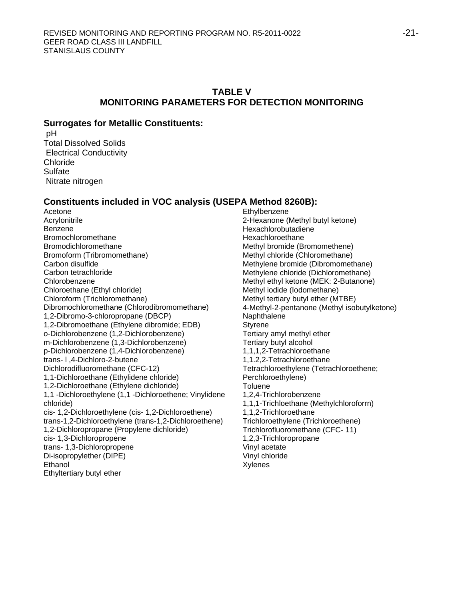## **TABLE V MONITORING PARAMETERS FOR DETECTION MONITORING**

#### **Surrogates for Metallic Constituents:**

pH Total Dissolved Solids Electrical Conductivity Chloride **Sulfate** Nitrate nitrogen

# **Constituents included in VOC analysis (USEPA Method 8260B):**

Acetone **Acrylonitrile** Benzene Bromochloromethane Bromodichloromethane Bromoform (Tribromomethane) Carbon disulfide Carbon tetrachloride Chlorobenzene Chloroethane (Ethyl chloride) Chloroform (Trichloromethane) Dibromochloromethane (Chlorodibromomethane) 1,2-Dibromo-3-chloropropane (DBCP) 1,2-Dibromoethane (Ethylene dibromide; EDB) o-Dichlorobenzene (1,2-Dichlorobenzene) m-Dichlorobenzene (1,3-Dichlorobenzene) p-Dichlorobenzene (1,4-Dichlorobenzene) trans- l ,4-Dichloro-2-butene Dichlorodifluoromethane (CFC-12) 1,1-Dichloroethane (Ethylidene chloride) 1,2-Dichloroethane (Ethylene dichloride) 1,1 -Dichloroethylene (1,1 -Dichloroethene; Vinylidene chloride) cis- 1,2-Dichloroethylene (cis- 1,2-Dichloroethene) trans-1,2-Dichloroethylene (trans-1,2-Dichloroethene) 1,2-Dichloropropane (Propylene dichloride) cis- 1,3-Dichloropropene trans- 1,3-Dichloropropene Di-isopropylether (DIPE) Ethanol Ethyltertiary butyl ether

Ethylbenzene 2-Hexanone (Methyl butyl ketone) Hexachlorobutadiene Hexachloroethane Methyl bromide (Bromomethene) Methyl chloride (Chloromethane) Methylene bromide (Dibromomethane) Methylene chloride (Dichloromethane) Methyl ethyl ketone (MEK: 2-Butanone) Methyl iodide (Iodomethane) Methyl tertiary butyl ether (MTBE) 4-Methyl-2-pentanone (Methyl isobutylketone) Naphthalene **Styrene** Tertiary amyl methyl ether Tertiary butyl alcohol 1,1,1,2-Tetrachloroethane 1,1.2,2-Tetrachloroethane Tetrachloroethylene (Tetrachloroethene; Perchloroethylene) Toluene 1,2,4-Trichlorobenzene 1,1,1-Trichloethane (Methylchloroforrn) 1,1,2-Trichloroethane Trichloroethylene (Trichloroethene) Trichlorofluoromethane (CFC- 11) 1,2,3-Trichloropropane Vinyl acetate Vinyl chloride Xylenes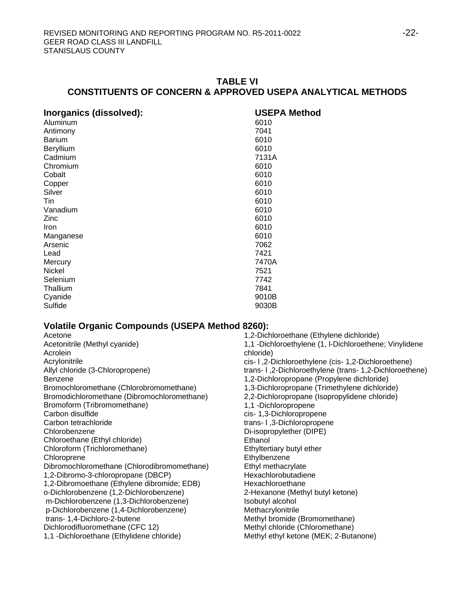# **TABLE VI CONSTITUENTS OF CONCERN & APPROVED USEPA ANALYTICAL METHODS**

| Inorganics (dissolved): | <b>USEPA Method</b> |
|-------------------------|---------------------|
| Aluminum                | 6010                |
| Antimony                | 7041                |
| <b>Barium</b>           | 6010                |
| Beryllium               | 6010                |
| Cadmium                 | 7131A               |
| Chromium                | 6010                |
| Cobalt                  | 6010                |
| Copper                  | 6010                |
| Silver                  | 6010                |
| Tin.                    | 6010                |
| Vanadium                | 6010                |
| Zinc                    | 6010                |
| Iron                    | 6010                |
| Manganese               | 6010                |
| Arsenic                 | 7062                |
| Lead                    | 7421                |
| Mercury                 | 7470A               |
| Nickel                  | 7521                |
| Selenium                | 7742                |
| Thallium                | 7841                |
| Cyanide                 | 9010B               |
| Sulfide                 | 9030B               |

# **Volatile Organic Compounds (USEPA Method 8260):**

| 1,2-Dichloroethane (Ethylene dichloride)                  |
|-----------------------------------------------------------|
| 1,1 -Dichloroethylene (1, I-Dichloroethene; Vinylidene    |
| chloride)                                                 |
| cis- I, 2-Dichloroethylene (cis- 1, 2-Dichloroethene)     |
| trans- I, 2-Dichloroethylene (trans- 1, 2-Dichloroethene) |
| 1,2-Dichloropropane (Propylene dichloride)                |
| 1,3-Dichloropropane (Trimethylene dichloride)             |
| 2,2-Dichloropropane (Isopropylidene chloride)             |
| 1,1 -Dichloropropene                                      |
| cis- 1,3-Dichloropropene                                  |
| trans- I, 3-Dichloropropene                               |
| Di-isopropylether (DIPE)                                  |
| Ethanol                                                   |
| Ethyltertiary butyl ether                                 |
| Ethylbenzene                                              |
| Ethyl methacrylate                                        |
| Hexachlorobutadiene                                       |
| Hexachloroethane                                          |
| 2-Hexanone (Methyl butyl ketone)                          |
| Isobutyl alcohol                                          |
| Methacrylonitrile                                         |
| Methyl bromide (Bromomethane)                             |
| Methyl chloride (Chloromethane)                           |
| Methyl ethyl ketone (MEK; 2-Butanone)                     |
|                                                           |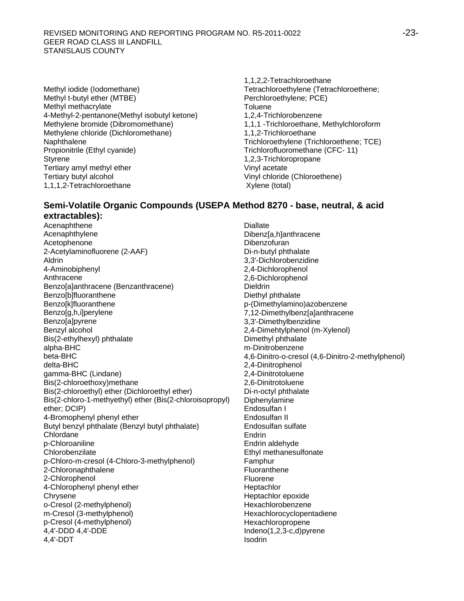- Methyl iodide (Iodomethane) Methyl t-butyl ether (MTBE) Methyl methacrylate 4-Methyl-2-pentanone(Methyl isobutyl ketone) Methylene bromide (Dibromomethane) Methylene chloride (Dichloromethane) Naphthalene Propionitrile (Ethyl cyanide) **Styrene** Tertiary amyl methyl ether Tertiary butyl alcohol 1,1,1,2-Tetrachloroethane
- 1,1,2,2-Tetrachloroethane Tetrachloroethylene (Tetrachloroethene; Perchloroethylene; PCE) **Toluene** 1,2,4-Trichlorobenzene 1,1,1 -Trichloroethane, Methylchloroform 1,1,2-Trichloroethane Trichloroethylene (Trichloroethene; TCE) Trichlorofluoromethane (CFC- 11) 1,2,3-Trichloropropane Vinyl acetate Vinyl chloride (Chloroethene) Xylene (total)

# **Semi-Volatile Organic Compounds (USEPA Method 8270 - base, neutral, & acid extractables):**

Acenaphthene Acenaphthylene Acetophenone 2-Acetylaminofluorene (2-AAF) Aldrin 4-Aminobiphenyl Anthracene Benzo[a]anthracene (Benzanthracene) Benzo[b]fluoranthene Benzo[k]fluoranthene Benzo[g,h,i]perylene Benzo[a]pyrene Benzyl alcohol Bis(2-ethylhexyl) phthalate alpha-BHC beta-BHC delta-BHC gamma-BHC (Lindane) Bis(2-chloroethoxy)methane Bis(2-chloroethyl) ether (Dichloroethyl ether) Bis(2-chloro-1-methyethyl) ether (Bis(2-chloroisopropyl) ether; DCIP) 4-Bromophenyl phenyl ether Butyl benzyl phthalate (Benzyl butyl phthalate) Chlordane p-Chloroaniline Chlorobenzilate p-Chloro-m-cresol (4-Chloro-3-methylphenol) 2-Chloronaphthalene 2-Chlorophenol 4-Chlorophenyl phenyl ether Chrysene o-Cresol (2-methylphenol) m-Cresol (3-methylphenol) p-Cresol (4-methylphenol) 4,4'-DDD 4,4'-DDE 4,4'-DDT

Diallate Dibenz[a,h]anthracene Dibenzofuran Di-n-butyl phthalate 3,3'-Dichlorobenzidine 2,4-Dichlorophenol 2,6-Dichlorophenol **Dieldrin** Diethyl phthalate p-(Dimethylamino)azobenzene 7,12-Dimethylbenz[a]anthracene 3,3'-Dimethylbenzidine 2,4-Dimehtylphenol (m-Xylenol) Dimethyl phthalate m-Dinitrobenzene 4,6-Dinitro-o-cresol (4,6-Dinitro-2-methylphenol) 2,4-Dinitrophenol 2,4-Dinitrotoluene 2,6-Dinitrotoluene Di-n-octyl phthalate Diphenylamine Endosulfan I Endosulfan II Endosulfan sulfate **Endrin** Endrin aldehyde Ethyl methanesulfonate Famphur Fluoranthene Fluorene **Heptachlor** Heptachlor epoxide Hexachlorobenzene Hexachlorocyclopentadiene Hexachloropropene Indeno(1,2,3-c,d)pyrene Isodrin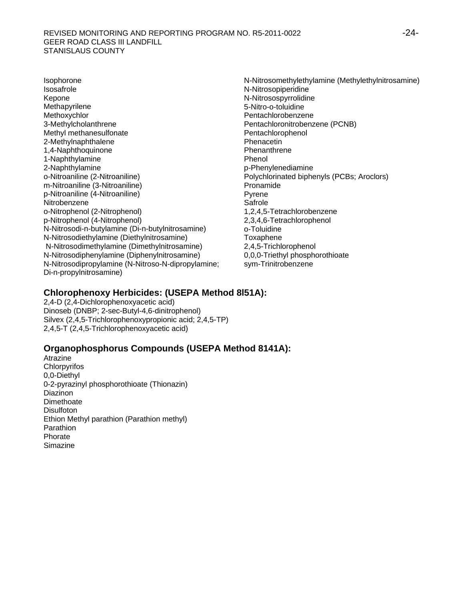Isophorone Isosafrole Kepone Methapyrilene Methoxychlor 3-Methylcholanthrene Methyl methanesulfonate 2-Methylnaphthalene 1,4-Naphthoquinone 1-Naphthylamine 2-Naphthylamine o-Nitroaniline (2-Nitroaniline) m-Nitroaniline (3-Nitroaniline) p-Nitroaniline (4-Nitroaniline) Nitrobenzene o-Nitrophenol (2-Nitrophenol) p-Nitrophenol (4-Nitrophenol) N-Nitrosodi-n-butylamine (Di-n-butylnitrosamine) N-Nitrosodiethylamine (Diethylnitrosamine) N-Nitrosodimethylamine (Dimethylnitrosamine) N-Nitrosodiphenylamine (Diphenylnitrosamine) N-Nitrosodipropylamine (N-Nitroso-N-dipropylamine; Di-n-propylnitrosamine)

N-Nitrosomethylethylamine (Methylethylnitrosamine) N-Nitrosopiperidine N-Nitrosospyrrolidine 5-Nitro-o-toluidine Pentachlorobenzene Pentachloronitrobenzene (PCNB) Pentachlorophenol Phenacetin Phenanthrene Phenol p-Phenylenediamine Polychlorinated biphenyls (PCBs; Aroclors) Pronamide Pyrene Safrole 1,2,4,5-Tetrachlorobenzene 2,3,4,6-Tetrachlorophenol o-Toluidine Toxaphene 2,4,5-Trichlorophenol 0,0,0-Triethyl phosphorothioate sym-Trinitrobenzene

# **Chlorophenoxy Herbicides: (USEPA Method 8l51A):**

2,4-D (2,4-Dichlorophenoxyacetic acid) Dinoseb (DNBP; 2-sec-Butyl-4,6-dinitrophenol) Silvex (2,4,5-Trichlorophenoxypropionic acid; 2,4,5-TP) 2,4,5-T (2,4,5-Trichlorophenoxyacetic acid)

# **Organophosphorus Compounds (USEPA Method 8141A):**

Atrazine **Chlorpyrifos** 0,0-Diethyl 0-2-pyrazinyl phosphorothioate (Thionazin) **Diazinon Dimethoate Disulfoton** Ethion Methyl parathion (Parathion methyl) Parathion **Phorate** Simazine